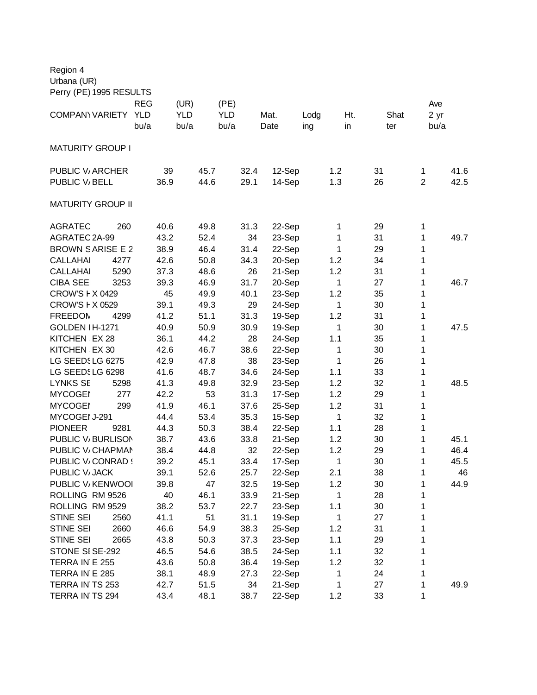| Region 4                 |      |            |      |            |      |            |      |      |        |      |              |     |    |      |                |      |
|--------------------------|------|------------|------|------------|------|------------|------|------|--------|------|--------------|-----|----|------|----------------|------|
| Urbana (UR)              |      |            |      |            |      |            |      |      |        |      |              |     |    |      |                |      |
| Perry (PE) 1995 RESULTS  |      |            |      |            |      |            |      |      |        |      |              |     |    |      |                |      |
|                          |      | <b>REG</b> |      | (UR)       |      | (PE)       |      |      |        |      |              |     |    |      | Ave            |      |
| COMPANY VARIETY          |      | <b>YLD</b> |      | <b>YLD</b> |      | <b>YLD</b> |      | Mat. |        | Lodg |              | Ht. |    | Shat | 2 yr           |      |
|                          |      | bu/a       |      | bu/a       |      | bu/a       |      | Date |        | ing  |              | in  |    | ter  | bu/a           |      |
|                          |      |            |      |            |      |            |      |      |        |      |              |     |    |      |                |      |
| <b>MATURITY GROUP I</b>  |      |            |      |            |      |            |      |      |        |      |              |     |    |      |                |      |
| PUBLIC V/ ARCHER         |      |            | 39   |            | 45.7 |            | 32.4 |      | 12-Sep |      | 1.2          |     | 31 |      | 1              | 41.6 |
| PUBLIC V/BELL            |      |            | 36.9 |            | 44.6 |            | 29.1 |      | 14-Sep |      | 1.3          |     | 26 |      | $\overline{2}$ | 42.5 |
| <b>MATURITY GROUP II</b> |      |            |      |            |      |            |      |      |        |      |              |     |    |      |                |      |
| <b>AGRATEC</b>           | 260  |            | 40.6 |            | 49.8 |            | 31.3 |      | 22-Sep |      | 1            |     | 29 |      | 1              |      |
| AGRATEC 2A-99            |      |            | 43.2 |            | 52.4 |            | 34   |      | 23-Sep |      | 1            |     | 31 |      | 1              | 49.7 |
| <b>BROWN SARISE E 2</b>  |      |            | 38.9 |            | 46.4 |            | 31.4 |      | 22-Sep |      | 1            |     | 29 |      | 1              |      |
| <b>CALLAHAI</b>          | 4277 |            | 42.6 |            | 50.8 |            | 34.3 |      | 20-Sep |      | 1.2          |     | 34 |      | 1              |      |
| <b>CALLAHAI</b>          | 5290 |            | 37.3 |            | 48.6 |            | 26   |      | 21-Sep |      | 1.2          |     | 31 |      | 1              |      |
| <b>CIBA SEE</b>          | 3253 |            | 39.3 |            | 46.9 |            | 31.7 |      | 20-Sep |      | 1            |     | 27 |      | 1              | 46.7 |
| <b>CROW'S F X 0429</b>   |      |            | 45   |            | 49.9 |            | 40.1 |      | 23-Sep |      | 1.2          |     | 35 |      | 1              |      |
| CROW'S F X 0529          |      |            | 39.1 |            | 49.3 |            | 29   |      | 24-Sep |      | 1            |     | 30 |      | 1              |      |
| <b>FREEDOM</b>           | 4299 |            | 41.2 |            | 51.1 |            | 31.3 |      | 19-Sep |      | 1.2          |     | 31 |      | 1              |      |
| GOLDEN IH-1271           |      |            | 40.9 |            | 50.9 |            | 30.9 |      | 19-Sep |      | 1            |     | 30 |      | 1              | 47.5 |
| KITCHEN EX 28            |      |            | 36.1 |            | 44.2 |            | 28   |      | 24-Sep |      | 1.1          |     | 35 |      | 1              |      |
| KITCHEN EX 30            |      |            | 42.6 |            | 46.7 |            | 38.6 |      | 22-Sep |      | 1            |     | 30 |      | 1              |      |
| LG SEEDSLG 6275          |      |            | 42.9 |            | 47.8 |            | 38   |      | 23-Sep |      | 1            |     | 26 |      | 1              |      |
| LG SEEDSLG 6298          |      |            | 41.6 |            | 48.7 |            | 34.6 |      | 24-Sep |      | 1.1          |     | 33 |      | 1              |      |
| <b>LYNKS SE</b>          | 5298 |            | 41.3 |            | 49.8 |            | 32.9 |      | 23-Sep |      | 1.2          |     | 32 |      | 1              | 48.5 |
| <b>MYCOGEI</b>           | 277  |            | 42.2 |            | 53   |            | 31.3 |      | 17-Sep |      | 1.2          |     | 29 |      | 1              |      |
| <b>MYCOGEI</b>           | 299  |            | 41.9 |            | 46.1 |            | 37.6 |      | 25-Sep |      | 1.2          |     | 31 |      | 1              |      |
| MYCOGEI J-291            |      |            | 44.4 |            | 53.4 |            | 35.3 |      | 15-Sep |      | 1            |     | 32 |      | 1              |      |
| <b>PIONEER</b>           | 9281 |            | 44.3 |            | 50.3 |            | 38.4 |      | 22-Sep |      | 1.1          |     | 28 |      | 1              |      |
| PUBLIC V/BURLISON        |      |            | 38.7 |            | 43.6 |            | 33.8 |      | 21-Sep |      | 1.2          |     | 30 |      | 1              | 45.1 |
| PUBLIC V/CHAPMAN         |      |            | 38.4 |            | 44.8 |            | 32   |      | 22-Sep |      | 1.2          |     | 29 |      | 1              | 46.4 |
| PUBLIC V/CONRAD !        |      |            | 39.2 |            | 45.1 |            | 33.4 |      | 17-Sep |      | 1            |     | 30 |      | 1              | 45.5 |
| PUBLIC V/JACK            |      |            | 39.1 |            | 52.6 |            | 25.7 |      | 22-Sep |      | 2.1          |     | 38 |      | 1              | 46   |
| PUBLIC V/KENWOOI         |      |            | 39.8 |            | 47   |            | 32.5 |      | 19-Sep |      | 1.2          |     | 30 |      | 1              | 44.9 |
| ROLLING RM 9526          |      |            | 40   |            | 46.1 |            | 33.9 |      | 21-Sep |      | 1            |     | 28 |      | 1              |      |
| ROLLING RM 9529          |      |            | 38.2 |            | 53.7 |            | 22.7 |      | 23-Sep |      | 1.1          |     | 30 |      | 1              |      |
| STINE SEI                | 2560 |            | 41.1 |            | 51   |            | 31.1 |      | 19-Sep |      | $\mathbf{1}$ |     | 27 |      | 1              |      |
| STINE SEI                | 2660 |            | 46.6 |            | 54.9 |            | 38.3 |      | 25-Sep |      | 1.2          |     | 31 |      | 1              |      |
| STINE SEI                | 2665 |            | 43.8 |            | 50.3 |            | 37.3 |      | 23-Sep |      | 1.1          |     | 29 |      | 1              |      |
| STONE SISE-292           |      |            | 46.5 |            | 54.6 |            | 38.5 |      | 24-Sep |      | 1.1          |     | 32 |      | 1              |      |
| TERRA IN E 255           |      |            | 43.6 |            | 50.8 |            | 36.4 |      | 19-Sep |      | 1.2          |     | 32 |      | 1              |      |
| TERRA IN E 285           |      |            | 38.1 |            | 48.9 |            | 27.3 |      | 22-Sep |      | 1            |     | 24 |      | 1              |      |
| TERRA IN TS 253          |      |            | 42.7 |            | 51.5 |            | 34   |      | 21-Sep |      | 1            |     | 27 |      | 1              | 49.9 |
| TERRA IN TS 294          |      |            | 43.4 |            | 48.1 |            | 38.7 |      | 22-Sep |      | 1.2          |     | 33 |      | 1              |      |
|                          |      |            |      |            |      |            |      |      |        |      |              |     |    |      |                |      |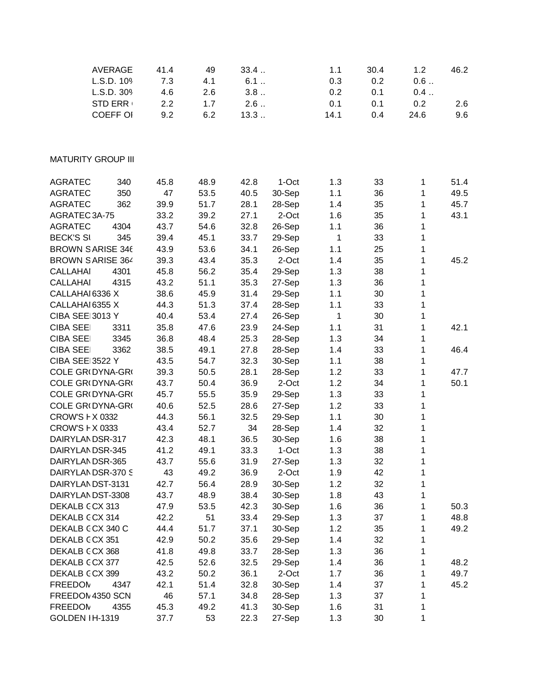| <b>AVERAGE</b>            | 41.4  | 49   | 33.4 |         | 1.1          | 30.4 | 1.2  | 46.2 |
|---------------------------|-------|------|------|---------|--------------|------|------|------|
| L.S.D. 109                | $7.3$ | 4.1  | 6.1  |         | 0.3          | 0.2  | 0.6  |      |
| L.S.D. 309                | 4.6   | 2.6  | 3.8  |         | 0.2          | 0.1  | 0.4  |      |
| <b>STD ERR</b>            | 2.2   | 1.7  | 2.6  |         | 0.1          | 0.1  | 0.2  | 2.6  |
| <b>COEFF OI</b>           | 9.2   | 6.2  | 13.3 |         | 14.1         | 0.4  | 24.6 | 9.6  |
|                           |       |      |      |         |              |      |      |      |
| <b>MATURITY GROUP III</b> |       |      |      |         |              |      |      |      |
| <b>AGRATEC</b><br>340     | 45.8  | 48.9 | 42.8 | 1-Oct   | 1.3          | 33   | 1    | 51.4 |
| 350<br><b>AGRATEC</b>     | 47    | 53.5 | 40.5 | 30-Sep  | 1.1          | 36   | 1    | 49.5 |
| 362<br><b>AGRATEC</b>     | 39.9  | 51.7 | 28.1 | 28-Sep  | 1.4          | 35   | 1    | 45.7 |
| AGRATEC 3A-75             | 33.2  | 39.2 | 27.1 | 2-Oct   | 1.6          | 35   | 1    | 43.1 |
| <b>AGRATEC</b><br>4304    | 43.7  | 54.6 | 32.8 | 26-Sep  | 1.1          | 36   | 1    |      |
| <b>BECK'S SI</b><br>345   | 39.4  | 45.1 | 33.7 | 29-Sep  | $\mathbf{1}$ | 33   | 1    |      |
| <b>BROWN SARISE 346</b>   | 43.9  | 53.6 | 34.1 | 26-Sep  | 1.1          | 25   | 1    |      |
| <b>BROWN SARISE 364</b>   | 39.3  | 43.4 | 35.3 | 2-Oct   | 1.4          | 35   | 1    | 45.2 |
| <b>CALLAHAI</b><br>4301   | 45.8  | 56.2 | 35.4 |         | 1.3          | 38   | 1    |      |
| <b>CALLAHAI</b><br>4315   | 43.2  | 51.1 |      | 29-Sep  |              |      |      |      |
| CALLAHAI 6336 X           |       |      | 35.3 | 27-Sep  | 1.3          | 36   | 1    |      |
|                           | 38.6  | 45.9 | 31.4 | 29-Sep  | 1.1          | 30   | 1    |      |
| CALLAHAI 6355 X           | 44.3  | 51.3 | 37.4 | 28-Sep  | 1.1          | 33   | 1    |      |
| CIBA SEE 3013 Y           | 40.4  | 53.4 | 27.4 | 26-Sep  | $\mathbf{1}$ | 30   | 1    |      |
| <b>CIBA SEE</b><br>3311   | 35.8  | 47.6 | 23.9 | 24-Sep  | 1.1          | 31   | 1    | 42.1 |
| <b>CIBA SEE</b><br>3345   | 36.8  | 48.4 | 25.3 | 28-Sep  | 1.3          | 34   | 1    |      |
| <b>CIBA SEE</b><br>3362   | 38.5  | 49.1 | 27.8 | 28-Sep  | 1.4          | 33   | 1    | 46.4 |
| <b>CIBA SEE 3522 Y</b>    | 43.5  | 54.7 | 32.3 | 30-Sep  | 1.1          | 38   | 1    |      |
| COLE GR(DYNA-GR(          | 39.3  | 50.5 | 28.1 | 28-Sep  | 1.2          | 33   | 1    | 47.7 |
| COLE GR(DYNA-GR(          | 43.7  | 50.4 | 36.9 | 2-Oct   | 1.2          | 34   | 1    | 50.1 |
| COLE GR(DYNA-GR(          | 45.7  | 55.5 | 35.9 | 29-Sep  | 1.3          | 33   | 1    |      |
| COLE GR(DYNA-GR(          | 40.6  | 52.5 | 28.6 | 27-Sep  | 1.2          | 33   | 1    |      |
| CROW'S F X 0332           | 44.3  | 56.1 | 32.5 | 29-Sep  | 1.1          | 30   | 1    |      |
| CROW'S F X 0333           | 43.4  | 52.7 | 34   | 28-Sep  | 1.4          | 32   | 1    |      |
| DAIRYLANDSR-317           | 42.3  | 48.1 | 36.5 | 30-Sep  | 1.6          | 38   | 1    |      |
| DAIRYLANDSR-345           | 41.2  | 49.1 | 33.3 | $1-Oct$ | 1.3          | 38   | 1    |      |
| DAIRYLANDSR-365           | 43.7  | 55.6 | 31.9 | 27-Sep  | 1.3          | 32   | 1    |      |
| DAIRYLANDSR-370 S         | 43    | 49.2 | 36.9 | 2-Oct   | 1.9          | 42   | 1    |      |
| DAIRYLANDST-3131          | 42.7  | 56.4 | 28.9 | 30-Sep  | 1.2          | 32   | 1    |      |
| DAIRYLANDST-3308          | 43.7  | 48.9 | 38.4 | 30-Sep  | 1.8          | 43   | 1    |      |
| DEKALB CCX 313            | 47.9  | 53.5 | 42.3 | 30-Sep  | 1.6          | 36   | 1    | 50.3 |
| DEKALB CCX 314            | 42.2  | 51   | 33.4 | 29-Sep  | 1.3          | 37   | 1    | 48.8 |
| DEKALB CCX 340 C          | 44.4  | 51.7 | 37.1 | 30-Sep  | 1.2          | 35   | 1    | 49.2 |
| DEKALB CCX 351            | 42.9  | 50.2 | 35.6 | 29-Sep  | 1.4          | 32   | 1    |      |
| DEKALB CCX 368            | 41.8  | 49.8 | 33.7 | 28-Sep  | 1.3          | 36   | 1    |      |
| DEKALB CCX 377            | 42.5  | 52.6 | 32.5 | 29-Sep  | 1.4          | 36   | 1    | 48.2 |
| DEKALB CCX 399            | 43.2  | 50.2 | 36.1 | 2-Oct   | 1.7          | 36   | 1    | 49.7 |
| <b>FREEDOM</b><br>4347    | 42.1  | 51.4 | 32.8 | 30-Sep  | 1.4          | 37   | 1    | 45.2 |
| FREEDOM 4350 SCN          | 46    | 57.1 | 34.8 | 28-Sep  | 1.3          | 37   | 1    |      |
| <b>FREEDOM</b><br>4355    | 45.3  | 49.2 | 41.3 | 30-Sep  | 1.6          | 31   | 1    |      |
| GOLDEN IH-1319            | 37.7  | 53   | 22.3 | 27-Sep  | 1.3          | 30   | 1    |      |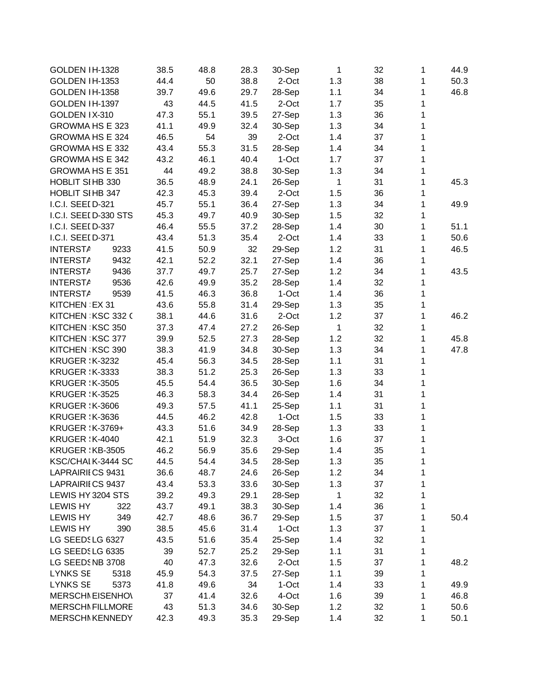| GOLDEN IH-1328          |      | 38.5 | 48.8 | 28.3 | 30-Sep  | $\mathbf{1}$ | 32 | 1 | 44.9 |
|-------------------------|------|------|------|------|---------|--------------|----|---|------|
| <b>GOLDEN IH-1353</b>   |      | 44.4 | 50   | 38.8 | 2-Oct   | 1.3          | 38 | 1 | 50.3 |
| GOLDEN IH-1358          |      | 39.7 | 49.6 | 29.7 | 28-Sep  | 1.1          | 34 | 1 | 46.8 |
| GOLDEN IH-1397          |      | 43   | 44.5 | 41.5 | 2-Oct   | 1.7          | 35 | 1 |      |
| GOLDEN IX-310           |      | 47.3 | 55.1 | 39.5 | 27-Sep  | 1.3          | 36 | 1 |      |
| GROWMA HS E 323         |      | 41.1 | 49.9 | 32.4 | 30-Sep  | 1.3          | 34 | 1 |      |
| GROWMA HS E 324         |      | 46.5 | 54   | 39   | 2-Oct   | 1.4          | 37 | 1 |      |
| GROWMA HS E 332         |      | 43.4 | 55.3 | 31.5 | 28-Sep  | 1.4          | 34 | 1 |      |
| GROWMA HS E 342         |      | 43.2 | 46.1 | 40.4 | 1-Oct   | 1.7          | 37 | 1 |      |
| <b>GROWMA HS E 351</b>  |      | 44   | 49.2 | 38.8 | 30-Sep  | 1.3          | 34 | 1 |      |
| HOBLIT SIHB 330         |      | 36.5 | 48.9 | 24.1 | 26-Sep  | $\mathbf{1}$ | 31 | 1 | 45.3 |
| HOBLIT SIHB 347         |      | 42.3 | 45.3 | 39.4 | 2-Oct   | 1.5          | 36 | 1 |      |
| I.C.I. SEEI D-321       |      | 45.7 | 55.1 | 36.4 | 27-Sep  | 1.3          | 34 | 1 | 49.9 |
| I.C.I. SEEI D-330 STS   |      | 45.3 | 49.7 | 40.9 | 30-Sep  | 1.5          | 32 | 1 |      |
| I.C.I. SEEI D-337       |      | 46.4 | 55.5 | 37.2 | 28-Sep  | 1.4          | 30 | 1 | 51.1 |
| I.C.I. SEEI D-371       |      | 43.4 | 51.3 | 35.4 | 2-Oct   | 1.4          | 33 | 1 | 50.6 |
| <b>INTERSTA</b>         | 9233 | 41.5 | 50.9 | 32   | 29-Sep  | 1.2          | 31 | 1 | 46.5 |
| <b>INTERSTA</b>         | 9432 | 42.1 | 52.2 | 32.1 | 27-Sep  | 1.4          | 36 | 1 |      |
| <b>INTERSTA</b>         | 9436 | 37.7 | 49.7 | 25.7 | 27-Sep  | 1.2          | 34 | 1 | 43.5 |
| <b>INTERSTA</b>         | 9536 | 42.6 | 49.9 | 35.2 | 28-Sep  | 1.4          | 32 | 1 |      |
| <b>INTERSTA</b>         | 9539 | 41.5 | 46.3 | 36.8 | 1-Oct   | 1.4          | 36 | 1 |      |
| KITCHEN EX 31           |      | 43.6 | 55.8 | 31.4 | 29-Sep  | 1.3          | 35 | 1 |      |
| KITCHEN KSC 332 (       |      | 38.1 | 44.6 | 31.6 | 2-Oct   | 1.2          | 37 | 1 | 46.2 |
| KITCHEN KSC 350         |      | 37.3 | 47.4 | 27.2 | 26-Sep  | $\mathbf{1}$ | 32 | 1 |      |
| KITCHEN KSC 377         |      | 39.9 | 52.5 | 27.3 | 28-Sep  | 1.2          | 32 | 1 | 45.8 |
| KITCHEN KSC 390         |      | 38.3 | 41.9 | 34.8 | 30-Sep  | 1.3          | 34 | 1 | 47.8 |
| <b>KRUGER : K-3232</b>  |      | 45.4 | 56.3 | 34.5 | 28-Sep  | 1.1          | 31 | 1 |      |
| <b>KRUGER : K-3333</b>  |      | 38.3 | 51.2 | 25.3 | 26-Sep  | 1.3          | 33 | 1 |      |
| <b>KRUGER : K-3505</b>  |      | 45.5 | 54.4 | 36.5 | 30-Sep  | 1.6          | 34 | 1 |      |
| <b>KRUGER : K-3525</b>  |      | 46.3 | 58.3 | 34.4 | 26-Sep  | 1.4          | 31 | 1 |      |
| <b>KRUGER : K-3606</b>  |      | 49.3 | 57.5 | 41.1 | 25-Sep  | 1.1          | 31 | 1 |      |
| <b>KRUGER : K-3636</b>  |      | 44.5 | 46.2 | 42.8 | 1-Oct   | 1.5          | 33 | 1 |      |
| KRUGER : K-3769+        |      | 43.3 | 51.6 | 34.9 | 28-Sep  | 1.3          | 33 | 1 |      |
| <b>KRUGER : K-4040</b>  |      | 42.1 | 51.9 | 32.3 | 3-Oct   | 1.6          | 37 | 1 |      |
| KRUGER : KB-3505        |      | 46.2 | 56.9 | 35.6 | 29-Sep  | 1.4          | 35 | 1 |      |
| KSC/CHAI K-3444 SC      |      | 44.5 | 54.4 | 34.5 | 28-Sep  | 1.3          | 35 | 1 |      |
| LAPRAIRII CS 9431       |      | 36.6 | 48.7 | 24.6 | 26-Sep  | 1.2          | 34 | 1 |      |
| LAPRAIRII CS 9437       |      | 43.4 | 53.3 | 33.6 | 30-Sep  | 1.3          | 37 | 1 |      |
| LEWIS HY 3204 STS       |      | 39.2 | 49.3 | 29.1 | 28-Sep  | 1            | 32 | 1 |      |
| <b>LEWIS HY</b>         | 322  | 43.7 | 49.1 | 38.3 | 30-Sep  | 1.4          | 36 | 1 |      |
| <b>LEWIS HY</b>         | 349  | 42.7 | 48.6 | 36.7 | 29-Sep  | 1.5          | 37 | 1 | 50.4 |
| <b>LEWIS HY</b>         | 390  | 38.5 | 45.6 | 31.4 | $1-Oct$ | 1.3          | 37 | 1 |      |
| LG SEEDSLG 6327         |      | 43.5 | 51.6 | 35.4 | 25-Sep  | 1.4          | 32 | 1 |      |
| LG SEEDSLG 6335         |      | 39   | 52.7 | 25.2 | 29-Sep  | 1.1          | 31 | 1 |      |
| LG SEEDSNB 3708         |      | 40   | 47.3 | 32.6 | 2-Oct   | 1.5          | 37 | 1 | 48.2 |
| <b>LYNKS SE</b>         | 5318 | 45.9 | 54.3 | 37.5 | 27-Sep  | 1.1          | 39 | 1 |      |
| <b>LYNKS SE</b>         | 5373 | 41.8 | 49.6 | 34   | 1-Oct   | 1.4          | 33 | 1 | 49.9 |
| <b>MERSCHI EISENHO\</b> |      | 37   | 41.4 | 32.6 | 4-Oct   | 1.6          | 39 | 1 | 46.8 |
| <b>MERSCHI FILLMORE</b> |      | 43   | 51.3 | 34.6 | 30-Sep  | 1.2          | 32 | 1 | 50.6 |
| <b>MERSCHI KENNEDY</b>  |      | 42.3 | 49.3 | 35.3 | 29-Sep  | 1.4          | 32 | 1 | 50.1 |
|                         |      |      |      |      |         |              |    |   |      |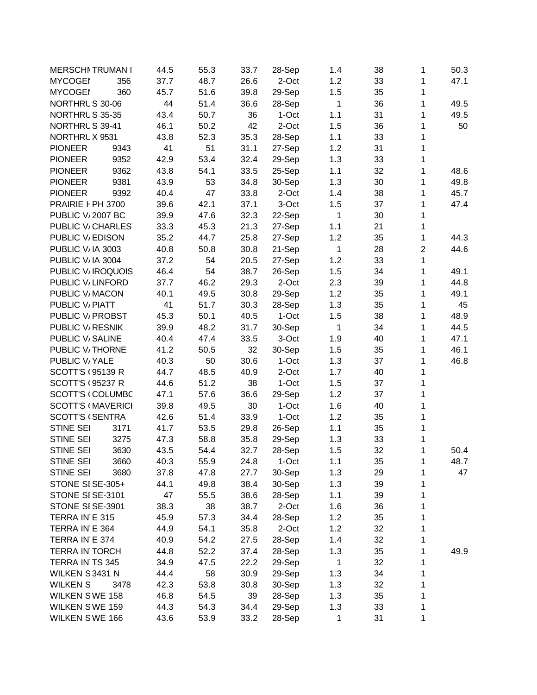| <b>MERSCHI TRUMAN I</b>       |      | 44.5 | 55.3 | 33.7         | 28-Sep  | 1.4          | 38 | 1              | 50.3 |
|-------------------------------|------|------|------|--------------|---------|--------------|----|----------------|------|
| <b>MYCOGEN</b>                | 356  | 37.7 | 48.7 | 26.6         | 2-Oct   | 1.2          | 33 | 1              | 47.1 |
| <b>MYCOGEN</b>                | 360  | 45.7 | 51.6 | 39.8         | 29-Sep  | 1.5          | 35 | 1              |      |
| NORTHRUS 30-06                |      | 44   | 51.4 | 36.6         | 28-Sep  | 1            | 36 | 1              | 49.5 |
| NORTHRUS 35-35                |      | 43.4 | 50.7 | 36           | 1-Oct   | 1.1          | 31 | 1              | 49.5 |
| NORTHRUS 39-41                |      | 46.1 | 50.2 | 42           | 2-Oct   | 1.5          | 36 | 1              | 50   |
| NORTHRUX 9531                 |      | 43.8 | 52.3 | 35.3         | 28-Sep  | 1.1          | 33 | 1              |      |
| <b>PIONEER</b>                | 9343 | 41   | 51   | 31.1         | 27-Sep  | 1.2          | 31 | 1              |      |
| <b>PIONEER</b>                | 9352 | 42.9 | 53.4 | 32.4         | 29-Sep  | 1.3          | 33 | 1              |      |
| <b>PIONEER</b>                | 9362 | 43.8 | 54.1 | 33.5         | 25-Sep  | 1.1          | 32 | 1              | 48.6 |
| <b>PIONEER</b>                | 9381 | 43.9 | 53   | 34.8         | 30-Sep  | 1.3          | 30 | 1              | 49.8 |
| <b>PIONEER</b>                | 9392 | 40.4 | 47   | 33.8         | 2-Oct   | 1.4          | 38 | 1              | 45.7 |
| PRAIRIE F PH 3700             |      | 39.6 | 42.1 | 37.1         | 3-Oct   | 1.5          | 37 | 1              | 47.4 |
| PUBLIC V <sub>i</sub> 2007 BC |      | 39.9 | 47.6 | 32.3         | 22-Sep  | 1            | 30 | 1              |      |
| PUBLIC V/CHARLES              |      | 33.3 | 45.3 | 21.3         | 27-Sep  | 1.1          | 21 | 1              |      |
| PUBLIC V/EDISON               |      | 35.2 | 44.7 | 25.8         | 27-Sep  | 1.2          | 35 | 1              | 44.3 |
| PUBLIC V/IA 3003              |      | 40.8 | 50.8 | 30.8         | 21-Sep  | $\mathbf{1}$ | 28 | $\overline{c}$ | 44.6 |
| PUBLIC V/IA 3004              |      | 37.2 | 54   | 20.5         | 27-Sep  | 1.2          | 33 | 1              |      |
| PUBLIC V/IROQUOIS             |      | 46.4 | 54   | 38.7         | 26-Sep  | 1.5          | 34 | 1              | 49.1 |
| PUBLIC V/LINFORD              |      | 37.7 | 46.2 | 29.3         | 2-Oct   | 2.3          | 39 | 1              | 44.8 |
| PUBLIC V/MACON                |      | 40.1 | 49.5 | 30.8         | 29-Sep  | 1.2          | 35 | 1              | 49.1 |
| PUBLIC V/PIATT                |      | 41   | 51.7 | 30.3         | 28-Sep  | 1.3          | 35 | 1              | 45   |
| PUBLIC V/ PROBST              |      | 45.3 | 50.1 | 40.5         | 1-Oct   | 1.5          | 38 | 1              | 48.9 |
| PUBLIC V/RESNIK               |      | 39.9 | 48.2 | 31.7         | 30-Sep  | $\mathbf{1}$ | 34 | 1              | 44.5 |
| PUBLIC V/SALINE               |      | 40.4 | 47.4 | 33.5         | 3-Oct   | 1.9          | 40 | 1              | 47.1 |
| PUBLIC V/THORNE               |      | 41.2 | 50.5 | 32           | 30-Sep  | 1.5          | 35 | 1              | 46.1 |
| PUBLIC V/YALE                 |      | 40.3 |      |              | 1-Oct   | 1.3          | 37 |                | 46.8 |
| <b>SCOTT'S (95139 R)</b>      |      |      | 50   | 30.6<br>40.9 | 2-Oct   |              |    | 1              |      |
|                               |      | 44.7 | 48.5 |              |         | 1.7          | 40 | 1              |      |
| <b>SCOTT'S (95237 R)</b>      |      | 44.6 | 51.2 | 38           | $1-Oct$ | 1.5          | 37 | 1              |      |
| <b>SCOTT'S (COLUMBC</b>       |      | 47.1 | 57.6 | 36.6         | 29-Sep  | 1.2          | 37 | 1              |      |
| <b>SCOTT'S (MAVERICI</b>      |      | 39.8 | 49.5 | 30           | 1-Oct   | 1.6          | 40 | 1              |      |
| <b>SCOTT'S (SENTRA</b>        |      | 42.6 | 51.4 | 33.9         | $1-Oct$ | 1.2          | 35 | 1              |      |
| STINE SEI                     | 3171 | 41.7 | 53.5 | 29.8         | 26-Sep  | 1.1          | 35 | $\mathbf{1}$   |      |
| STINE SEI                     | 3275 | 47.3 | 58.8 | 35.8         | 29-Sep  | 1.3          | 33 | 1              |      |
| STINE SEI                     | 3630 | 43.5 | 54.4 | 32.7         | 28-Sep  | 1.5          | 32 | 1              | 50.4 |
| STINE SEI                     | 3660 | 40.3 | 55.9 | 24.8         | 1-Oct   | 1.1          | 35 | 1              | 48.7 |
| STINE SEI                     | 3680 | 37.8 | 47.8 | 27.7         | 30-Sep  | 1.3          | 29 | 1              | 47   |
| STONE SISE-305+               |      | 44.1 | 49.8 | 38.4         | 30-Sep  | 1.3          | 39 | 1              |      |
| STONE SISE-3101               |      | 47   | 55.5 | 38.6         | 28-Sep  | 1.1          | 39 | 1              |      |
| STONE SISE-3901               |      | 38.3 | 38   | 38.7         | 2-Oct   | 1.6          | 36 | 1              |      |
| TERRA IN E 315                |      | 45.9 | 57.3 | 34.4         | 28-Sep  | 1.2          | 35 | 1              |      |
| TERRA IN E 364                |      | 44.9 | 54.1 | 35.8         | 2-Oct   | 1.2          | 32 | 1              |      |
| TERRA IN E 374                |      | 40.9 | 54.2 | 27.5         | 28-Sep  | 1.4          | 32 | 1              |      |
| <b>TERRA IN TORCH</b>         |      | 44.8 | 52.2 | 37.4         | 28-Sep  | 1.3          | 35 | 1              | 49.9 |
| TERRA IN TS 345               |      | 34.9 | 47.5 | 22.2         | 29-Sep  | $\mathbf{1}$ | 32 | 1              |      |
| WILKEN S3431 N                |      | 44.4 | 58   | 30.9         | 29-Sep  | 1.3          | 34 | 1              |      |
| <b>WILKEN S</b>               | 3478 | 42.3 | 53.8 | 30.8         | 30-Sep  | 1.3          | 32 | 1              |      |
| <b>WILKEN SWE 158</b>         |      | 46.8 | 54.5 | 39           | 28-Sep  | 1.3          | 35 | 1              |      |
| WILKEN SWE 159                |      | 44.3 | 54.3 | 34.4         | 29-Sep  | 1.3          | 33 | 1              |      |
| <b>WILKEN SWE 166</b>         |      | 43.6 | 53.9 | 33.2         | 28-Sep  | 1            | 31 | 1              |      |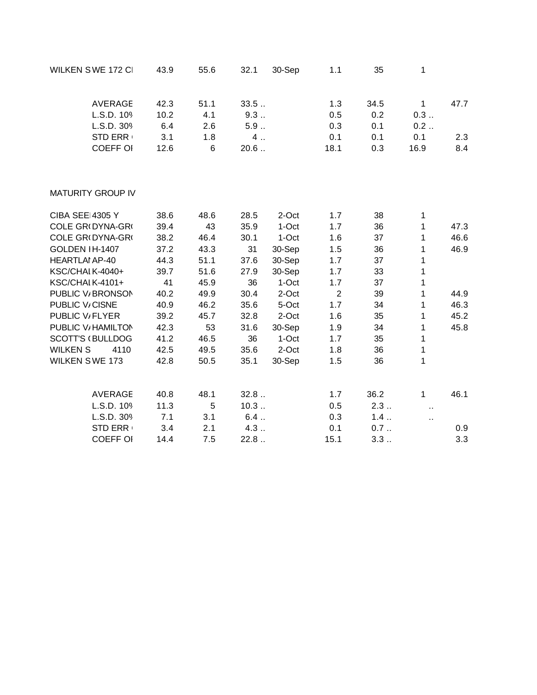| WILKEN SWE 172 CI        | 43.9 | 55.6 | 32.1  | 30-Sep | 1.1            | 35   | 1                    |      |
|--------------------------|------|------|-------|--------|----------------|------|----------------------|------|
| <b>AVERAGE</b>           | 42.3 | 51.1 | 33.5  |        | 1.3            | 34.5 | $\mathbf{1}$         | 47.7 |
| L.S.D. 109               | 10.2 | 4.1  | 9.3   |        | 0.5            | 0.2  | 0.3                  |      |
| L.S.D. 309               | 6.4  | 2.6  | $5.9$ |        | 0.3            | 0.1  | 0.2                  |      |
| <b>STD ERR</b>           | 3.1  | 1.8  | 4.    |        | 0.1            | 0.1  | 0.1                  | 2.3  |
| COEFF OI                 | 12.6 | 6    | 20.6  |        | 18.1           | 0.3  | 16.9                 | 8.4  |
| <b>MATURITY GROUP IV</b> |      |      |       |        |                |      |                      |      |
| <b>CIBA SEE 4305 Y</b>   | 38.6 | 48.6 | 28.5  | 2-Oct  | 1.7            | 38   | 1                    |      |
| COLE GR(DYNA-GR(         | 39.4 | 43   | 35.9  | 1-Oct  | 1.7            | 36   | 1                    | 47.3 |
| COLE GR(DYNA-GR(         | 38.2 | 46.4 | 30.1  | 1-Oct  | 1.6            | 37   | 1                    | 46.6 |
| GOLDEN IH-1407           | 37.2 | 43.3 | 31    | 30-Sep | 1.5            | 36   | 1                    | 46.9 |
| <b>HEARTLAI AP-40</b>    | 44.3 | 51.1 | 37.6  | 30-Sep | 1.7            | 37   | 1                    |      |
| KSC/CHAI K-4040+         | 39.7 | 51.6 | 27.9  | 30-Sep | 1.7            | 33   | 1                    |      |
| KSC/CHAI K-4101+         | 41   | 45.9 | 36    | 1-Oct  | 1.7            | 37   | 1                    |      |
| PUBLIC V/BRONSON         | 40.2 | 49.9 | 30.4  | 2-Oct  | $\overline{2}$ | 39   | 1                    | 44.9 |
| PUBLIC V/CISNE           | 40.9 | 46.2 | 35.6  | 5-Oct  | 1.7            | 34   | 1                    | 46.3 |
| PUBLIC V/FLYER           | 39.2 | 45.7 | 32.8  | 2-Oct  | 1.6            | 35   | 1                    | 45.2 |
| PUBLIC V/ HAMILTON       | 42.3 | 53   | 31.6  | 30-Sep | 1.9            | 34   | 1                    | 45.8 |
| <b>SCOTT'S (BULLDOG</b>  | 41.2 | 46.5 | 36    | 1-Oct  | 1.7            | 35   | 1                    |      |
| <b>WILKEN S</b><br>4110  | 42.5 | 49.5 | 35.6  | 2-Oct  | 1.8            | 36   | 1                    |      |
| <b>WILKEN SWE 173</b>    | 42.8 | 50.5 | 35.1  | 30-Sep | 1.5            | 36   | 1                    |      |
| <b>AVERAGE</b>           | 40.8 | 48.1 | 32.8  |        | 1.7            | 36.2 | $\mathbf{1}$         | 46.1 |
| L.S.D. 109               | 11.3 | 5    | 10.3  |        | 0.5            | 2.3  | $\ddot{\phantom{a}}$ |      |
| L.S.D. 309               | 7.1  | 3.1  | 6.4   |        | 0.3            | 1.4  | Ω,                   |      |
| STD ERR                  | 3.4  | 2.1  | 4.3   |        | 0.1            | 0.7  |                      | 0.9  |
| COEFF OI                 | 14.4 | 7.5  | 22.8. |        | 15.1           | 3.3  |                      | 3.3  |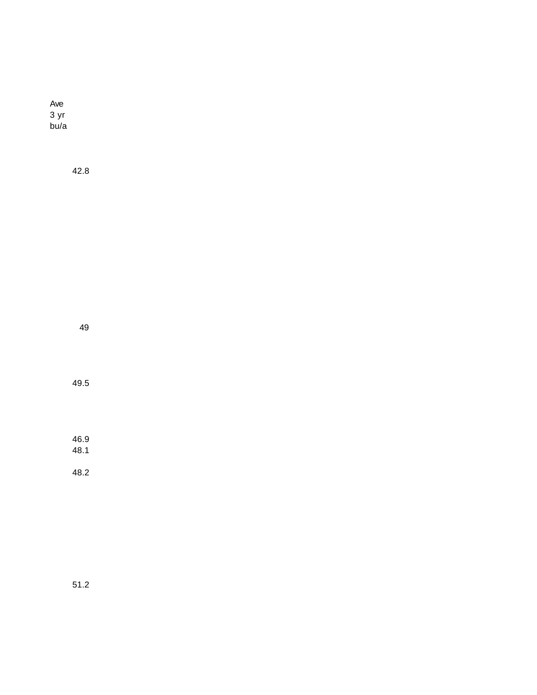Ave 3 yr bu/a

42.8

49

49.5

46.9 48.1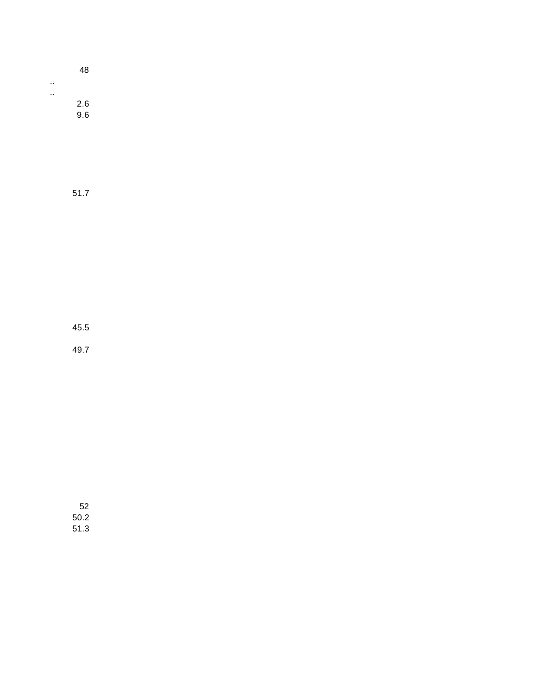|     | 48  |  |
|-----|-----|--|
| . . |     |  |
| . . |     |  |
|     | 2.6 |  |
|     | 9.6 |  |
|     |     |  |

51.7

45.5

49.7

52 50.2 51.3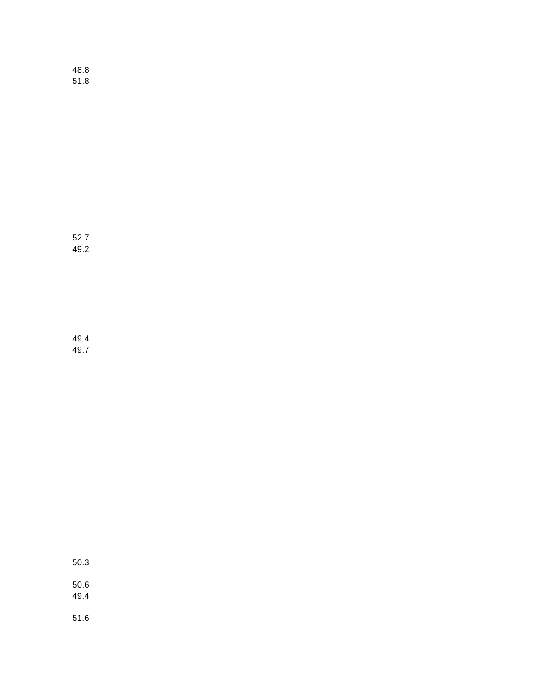48.8 51.8

52.7 49.2

49.4 49.7

50.3

50.6 49.4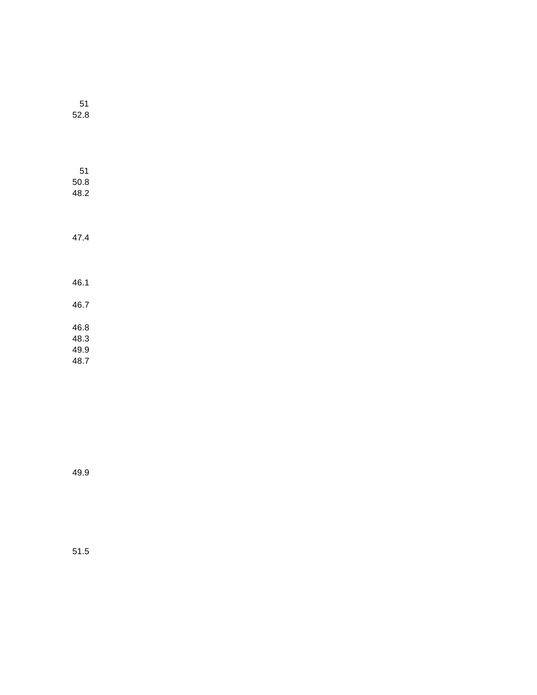| 52.8                         |  |
|------------------------------|--|
| 51<br>50.8<br>48.2           |  |
| 47.4                         |  |
| 46.1                         |  |
| 46.7                         |  |
| 46.8<br>48.3<br>49.9<br>48.7 |  |

51

49.9